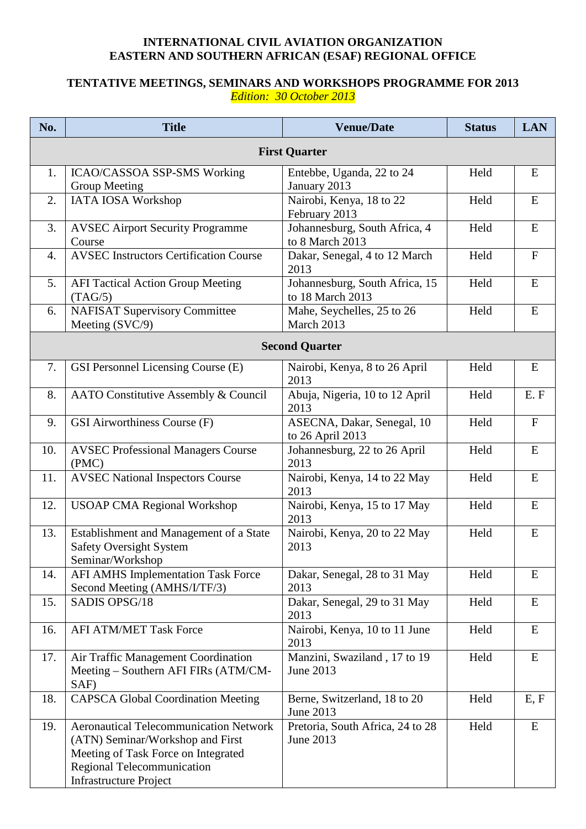## **INTERNATIONAL CIVIL AVIATION ORGANIZATION EASTERN AND SOUTHERN AFRICAN (ESAF) REGIONAL OFFICE**

## **TENTATIVE MEETINGS, SEMINARS AND WORKSHOPS PROGRAMME FOR 2013** *Edition: 30 October 2013*

| No.                  | <b>Title</b>                                                                                                                                                                            | <b>Venue/Date</b>                                  | <b>Status</b> | <b>LAN</b>   |  |  |  |  |
|----------------------|-----------------------------------------------------------------------------------------------------------------------------------------------------------------------------------------|----------------------------------------------------|---------------|--------------|--|--|--|--|
| <b>First Quarter</b> |                                                                                                                                                                                         |                                                    |               |              |  |  |  |  |
| 1.                   | ICAO/CASSOA SSP-SMS Working<br>Group Meeting                                                                                                                                            | Entebbe, Uganda, 22 to 24<br>January 2013          | Held          | E            |  |  |  |  |
| 2.                   | IATA IOSA Workshop                                                                                                                                                                      | Nairobi, Kenya, 18 to 22<br>February 2013          | Held          | E            |  |  |  |  |
| 3.                   | <b>AVSEC Airport Security Programme</b><br>Course                                                                                                                                       | Johannesburg, South Africa, 4<br>to 8 March 2013   | Held          | ${\bf E}$    |  |  |  |  |
| 4.                   | <b>AVSEC Instructors Certification Course</b>                                                                                                                                           | Dakar, Senegal, 4 to 12 March<br>2013              | Held          | $\mathbf{F}$ |  |  |  |  |
| 5.                   | <b>AFI Tactical Action Group Meeting</b><br>(TAG/5)                                                                                                                                     | Johannesburg, South Africa, 15<br>to 18 March 2013 | Held          | E            |  |  |  |  |
| 6.                   | <b>NAFISAT Supervisory Committee</b><br>Meeting (SVC/9)                                                                                                                                 | Mahe, Seychelles, 25 to 26<br>March 2013           | Held          | ${\bf E}$    |  |  |  |  |
|                      | <b>Second Quarter</b>                                                                                                                                                                   |                                                    |               |              |  |  |  |  |
| 7.                   | GSI Personnel Licensing Course (E)                                                                                                                                                      | Nairobi, Kenya, 8 to 26 April<br>2013              | Held          | E            |  |  |  |  |
| 8.                   | AATO Constitutive Assembly & Council                                                                                                                                                    | Abuja, Nigeria, 10 to 12 April<br>2013             | Held          | E.F          |  |  |  |  |
| 9.                   | GSI Airworthiness Course (F)                                                                                                                                                            | ASECNA, Dakar, Senegal, 10<br>to 26 April 2013     | Held          | $\mathbf F$  |  |  |  |  |
| 10.                  | <b>AVSEC Professional Managers Course</b><br>(PMC)                                                                                                                                      | Johannesburg, 22 to 26 April<br>2013               | Held          | E            |  |  |  |  |
| 11.                  | <b>AVSEC National Inspectors Course</b>                                                                                                                                                 | Nairobi, Kenya, 14 to 22 May<br>2013               | Held          | ${\bf E}$    |  |  |  |  |
| 12.                  | <b>USOAP CMA Regional Workshop</b>                                                                                                                                                      | Nairobi, Kenya, 15 to 17 May<br>2013               | Held          | E            |  |  |  |  |
| 13.                  | Establishment and Management of a State<br><b>Safety Oversight System</b><br>Seminar/Workshop                                                                                           | Nairobi, Kenya, 20 to 22 May<br>2013               | Held          | E            |  |  |  |  |
| 14.                  | <b>AFI AMHS Implementation Task Force</b><br>Second Meeting (AMHS/I/TF/3)                                                                                                               | Dakar, Senegal, 28 to 31 May<br>2013               | Held          | E            |  |  |  |  |
| 15.                  | SADIS OPSG/18                                                                                                                                                                           | Dakar, Senegal, 29 to 31 May<br>2013               | Held          | E            |  |  |  |  |
| 16.                  | <b>AFI ATM/MET Task Force</b>                                                                                                                                                           | Nairobi, Kenya, 10 to 11 June<br>2013              | Held          | ${\bf E}$    |  |  |  |  |
| 17.                  | Air Traffic Management Coordination<br>Meeting – Southern AFI FIRs (ATM/CM-<br>SAF)                                                                                                     | Manzini, Swaziland, 17 to 19<br>June 2013          | Held          | E            |  |  |  |  |
| 18.                  | <b>CAPSCA Global Coordination Meeting</b>                                                                                                                                               | Berne, Switzerland, 18 to 20<br>June 2013          | Held          | E, F         |  |  |  |  |
| 19.                  | <b>Aeronautical Telecommunication Network</b><br>(ATN) Seminar/Workshop and First<br>Meeting of Task Force on Integrated<br>Regional Telecommunication<br><b>Infrastructure Project</b> | Pretoria, South Africa, 24 to 28<br>June 2013      | Held          | E            |  |  |  |  |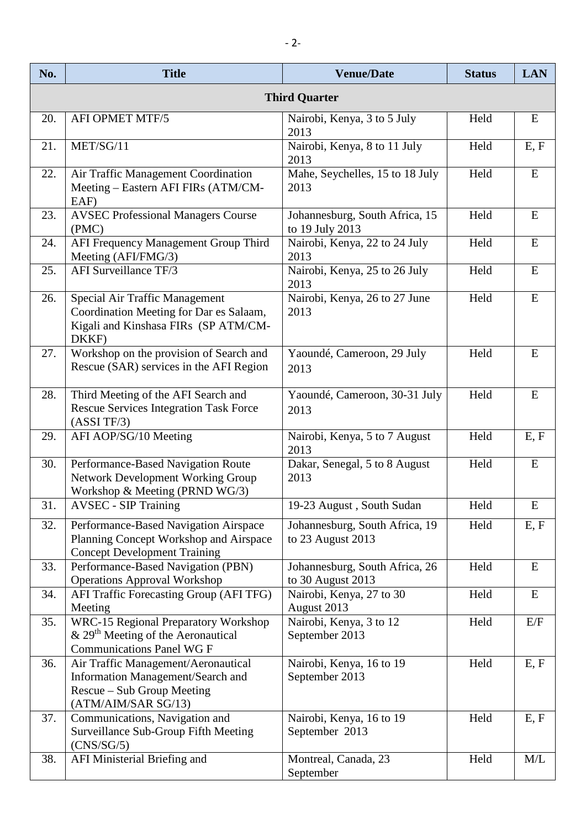| No.                  | <b>Title</b>                                                                                                                         | <b>Venue/Date</b>                                   | <b>Status</b> | <b>LAN</b> |  |  |  |
|----------------------|--------------------------------------------------------------------------------------------------------------------------------------|-----------------------------------------------------|---------------|------------|--|--|--|
| <b>Third Quarter</b> |                                                                                                                                      |                                                     |               |            |  |  |  |
| 20.                  | <b>AFI OPMET MTF/5</b>                                                                                                               | Nairobi, Kenya, 3 to 5 July<br>2013                 | Held          | E          |  |  |  |
| 21.                  | MET/SG/11                                                                                                                            | Nairobi, Kenya, 8 to 11 July<br>2013                | Held          | E, F       |  |  |  |
| 22.                  | Air Traffic Management Coordination<br>Meeting - Eastern AFI FIRs (ATM/CM-<br>EAF)                                                   | Mahe, Seychelles, 15 to 18 July<br>2013             | Held          | ${\bf E}$  |  |  |  |
| 23.                  | <b>AVSEC Professional Managers Course</b><br>(PMC)                                                                                   | Johannesburg, South Africa, 15<br>to 19 July 2013   | Held          | E          |  |  |  |
| 24.                  | AFI Frequency Management Group Third<br>Meeting (AFI/FMG/3)                                                                          | Nairobi, Kenya, 22 to 24 July<br>2013               | Held          | E          |  |  |  |
| 25.                  | AFI Surveillance TF/3                                                                                                                | Nairobi, Kenya, 25 to 26 July<br>2013               | Held          | ${\bf E}$  |  |  |  |
| 26.                  | Special Air Traffic Management<br>Coordination Meeting for Dar es Salaam,<br>Kigali and Kinshasa FIRs (SP ATM/CM-<br>DKKF)           | Nairobi, Kenya, 26 to 27 June<br>2013               | Held          | ${\bf E}$  |  |  |  |
| 27.                  | Workshop on the provision of Search and<br>Rescue (SAR) services in the AFI Region                                                   | Yaoundé, Cameroon, 29 July<br>2013                  | Held          | E          |  |  |  |
| 28.                  | Third Meeting of the AFI Search and<br><b>Rescue Services Integration Task Force</b><br>(ASSI TF/3)                                  | Yaoundé, Cameroon, 30-31 July<br>2013               | Held          | E          |  |  |  |
| 29.                  | AFI AOP/SG/10 Meeting                                                                                                                | Nairobi, Kenya, 5 to 7 August<br>2013               | Held          | E, F       |  |  |  |
| 30.                  | Performance-Based Navigation Route<br><b>Network Development Working Group</b><br>Workshop & Meeting (PRND WG/3)                     | Dakar, Senegal, 5 to 8 August<br>2013               | Held          | E          |  |  |  |
| 31.                  | <b>AVSEC - SIP Training</b>                                                                                                          | 19-23 August, South Sudan                           | Held          | E          |  |  |  |
| 32.                  | Performance-Based Navigation Airspace<br>Planning Concept Workshop and Airspace<br><b>Concept Development Training</b>               | Johannesburg, South Africa, 19<br>to 23 August 2013 | Held          | E, F       |  |  |  |
| 33.                  | Performance-Based Navigation (PBN)<br><b>Operations Approval Workshop</b>                                                            | Johannesburg, South Africa, 26<br>to 30 August 2013 | Held          | E          |  |  |  |
| 34.                  | AFI Traffic Forecasting Group (AFI TFG)<br>Meeting                                                                                   | Nairobi, Kenya, 27 to 30<br>August 2013             | Held          | E          |  |  |  |
| 35.                  | <b>WRC-15 Regional Preparatory Workshop</b><br>$\&$ 29 <sup>th</sup> Meeting of the Aeronautical<br><b>Communications Panel WG F</b> | Nairobi, Kenya, 3 to 12<br>September 2013           | Held          | E/F        |  |  |  |
| 36.                  | Air Traffic Management/Aeronautical<br>Information Management/Search and<br>Rescue - Sub Group Meeting<br>(ATM/AIM/SAR SG/13)        | Nairobi, Kenya, 16 to 19<br>September 2013          | Held          | E, F       |  |  |  |
| 37.                  | Communications, Navigation and<br>Surveillance Sub-Group Fifth Meeting<br>(CNS/SG/5)                                                 | Nairobi, Kenya, 16 to 19<br>September 2013          | Held          | E, F       |  |  |  |
| 38.                  | AFI Ministerial Briefing and                                                                                                         | Montreal, Canada, 23<br>September                   | Held          | M/L        |  |  |  |